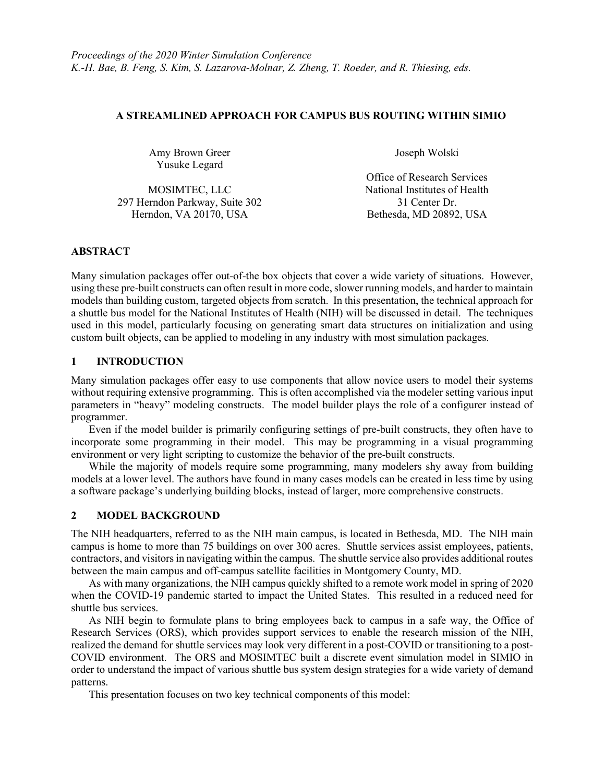### A STREAMLINED APPROACH FOR CAMPUS BUS ROUTING WITHIN SIMIO

Amy Brown Greer Yusuke Legard

Joseph Wolski

MOSIMTEC, LLC National Institutes of Health 297 Herndon Parkway, Suite 302 31 Center Dr. Herndon, VA 20170, USA Bethesda, MD 20892, USA

Office of Research Services

#### ABSTRACT

Many simulation packages offer out-of-the box objects that cover a wide variety of situations. However, using these pre-built constructs can often result in more code, slower running models, and harder to maintain models than building custom, targeted objects from scratch. In this presentation, the technical approach for a shuttle bus model for the National Institutes of Health (NIH) will be discussed in detail. The techniques used in this model, particularly focusing on generating smart data structures on initialization and using custom built objects, can be applied to modeling in any industry with most simulation packages.

# 1 INTRODUCTION

Many simulation packages offer easy to use components that allow novice users to model their systems without requiring extensive programming. This is often accomplished via the modeler setting various input parameters in "heavy" modeling constructs. The model builder plays the role of a configurer instead of programmer.

 Even if the model builder is primarily configuring settings of pre-built constructs, they often have to incorporate some programming in their model. This may be programming in a visual programming environment or very light scripting to customize the behavior of the pre-built constructs.

 While the majority of models require some programming, many modelers shy away from building models at a lower level. The authors have found in many cases models can be created in less time by using a software package's underlying building blocks, instead of larger, more comprehensive constructs.

# 2 MODEL BACKGROUND

The NIH headquarters, referred to as the NIH main campus, is located in Bethesda, MD. The NIH main campus is home to more than 75 buildings on over 300 acres. Shuttle services assist employees, patients, contractors, and visitors in navigating within the campus. The shuttle service also provides additional routes between the main campus and off-campus satellite facilities in Montgomery County, MD.

 As with many organizations, the NIH campus quickly shifted to a remote work model in spring of 2020 when the COVID-19 pandemic started to impact the United States. This resulted in a reduced need for shuttle bus services.

As NIH begin to formulate plans to bring employees back to campus in a safe way, the Office of Research Services (ORS), which provides support services to enable the research mission of the NIH, realized the demand for shuttle services may look very different in a post-COVID or transitioning to a post-COVID environment. The ORS and MOSIMTEC built a discrete event simulation model in SIMIO in order to understand the impact of various shuttle bus system design strategies for a wide variety of demand patterns.

This presentation focuses on two key technical components of this model: